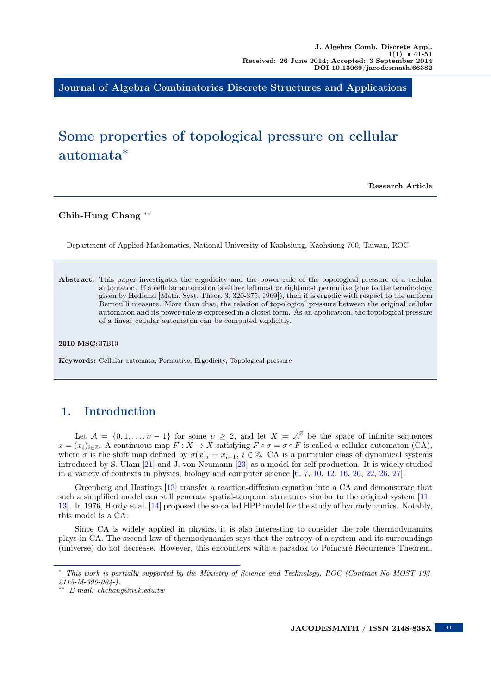Journal of Algebra Combinatorics Discrete Structures and Applications

# Some properties of topological pressure on cellular automata<sup>∗</sup>

Research Article

#### Chih-Hung Chang ∗∗

Department of Applied Mathematics, National University of Kaohsiung, Kaohsiung 700, Taiwan, ROC

Abstract: This paper investigates the ergodicity and the power rule of the topological pressure of a cellular automaton. If a cellular automaton is either leftmost or rightmost permutive (due to the terminology given by Hedlund [Math. Syst. Theor. 3, 320-375, 1969]), then it is ergodic with respect to the uniform Bernoulli measure. More than that, the relation of topological pressure between the original cellular automaton and its power rule is expressed in a closed form. As an application, the topological pressure of a linear cellular automaton can be computed explicitly.

#### 2010 MSC: 37B10

Keywords: Cellular automata, Permutive, Ergodicity, Topological pressure

## 1. Introduction

Let  $\mathcal{A} = \{0, 1, \ldots, v - 1\}$  for some  $v \geq 2$ , and let  $X = \mathcal{A}^{\mathbb{Z}}$  be the space of infinite sequences  $x = (x_i)_{i \in \mathbb{Z}}$ . A continuous map  $F : X \to X$  satisfying  $F \circ \sigma = \sigma \circ F$  is called a cellular automaton (CA), where  $\sigma$  is the shift map defined by  $\sigma(x)_i = x_{i+1}$ ,  $i \in \mathbb{Z}$ . CA is a particular class of dynamical systems introduced by S. Ulam [\[21\]](#page-10-0) and J. von Neumann [\[23\]](#page-10-1) as a model for self-production. It is widely studied in a variety of contexts in physics, biology and computer science [\[6,](#page-10-2) [7,](#page-10-3) [10,](#page-10-4) [12,](#page-10-5) [16,](#page-10-6) [20,](#page-10-7) [22,](#page-10-8) [26,](#page-10-9) [27\]](#page-10-10).

Greenberg and Hastings [\[13\]](#page-10-11) transfer a reaction-diffusion equation into a CA and demonstrate that such a simplified model can still generate spatial-temporal structures similar to the original system [\[11–](#page-10-12) [13\]](#page-10-11). In 1976, Hardy et al. [\[14\]](#page-10-13) proposed the so-called HPP model for the study of hydrodynamics. Notably, this model is a CA.

Since CA is widely applied in physics, it is also interesting to consider the role thermodynamics plays in CA. The second law of thermodynamics says that the entropy of a system and its surroundings (universe) do not decrease. However, this encounters with a paradox to Poincaré Recurrence Theorem.

 $\overline{41}$ 

<sup>∗</sup> This work is partially supported by the Ministry of Science and Technology, ROC (Contract No MOST 103- 2115-M-390-004-).

<sup>∗∗</sup> E-mail: chchang@nuk.edu.tw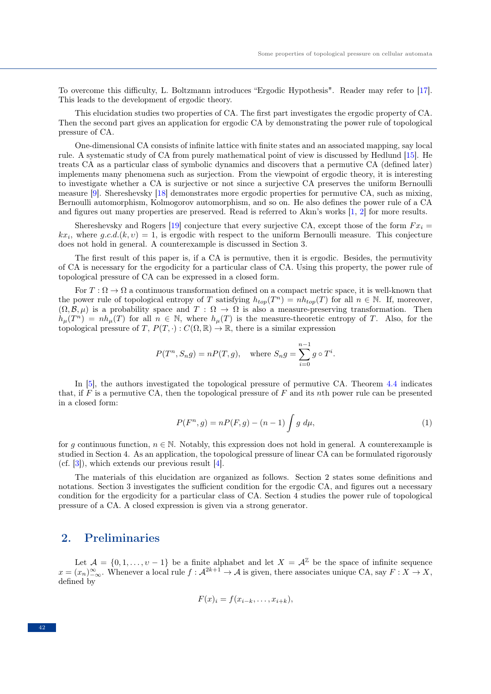To overcome this difficulty, L. Boltzmann introduces "Ergodic Hypothesis". Reader may refer to [\[17\]](#page-10-14). This leads to the development of ergodic theory.

This elucidation studies two properties of CA. The first part investigates the ergodic property of CA. Then the second part gives an application for ergodic CA by demonstrating the power rule of topological pressure of CA.

One-dimensional CA consists of infinite lattice with finite states and an associated mapping, say local rule. A systematic study of CA from purely mathematical point of view is discussed by Hedlund [\[15\]](#page-10-15). He treats CA as a particular class of symbolic dynamics and discovers that a permutive CA (defined later) implements many phenomena such as surjection. From the viewpoint of ergodic theory, it is interesting to investigate whether a CA is surjective or not since a surjective CA preserves the uniform Bernoulli measure [\[9\]](#page-10-16). Shereshevsky [\[18\]](#page-10-17) demonstrates more ergodic properties for permutive CA, such as mixing, Bernoulli automorphism, Kolmogorov automorphism, and so on. He also defines the power rule of a CA and figures out many properties are preserved. Read is referred to Akın's works [\[1,](#page-9-0) [2\]](#page-9-1) for more results.

Shereshevsky and Rogers [\[19\]](#page-10-18) conjecture that every surjective CA, except those of the form  $Fx_i =$  $kx_i$ , where  $g.c.d.(k, v) = 1$ , is ergodic with respect to the uniform Bernoulli measure. This conjecture does not hold in general. A counterexample is discussed in Section 3.

The first result of this paper is, if a CA is permutive, then it is ergodic. Besides, the permutivity of CA is necessary for the ergodicity for a particular class of CA. Using this property, the power rule of topological pressure of CA can be expressed in a closed form.

For  $T : \Omega \to \Omega$  a continuous transformation defined on a compact metric space, it is well-known that the power rule of topological entropy of T satisfying  $h_{top}(T^n) = nh_{top}(T)$  for all  $n \in \mathbb{N}$ . If, moreover,  $(\Omega, \mathcal{B}, \mu)$  is a probability space and  $T : \Omega \to \Omega$  is also a measure-preserving transformation. Then  $h_{\mu}(T^n) = nh_{\mu}(T)$  for all  $n \in \mathbb{N}$ , where  $h_{\mu}(T)$  is the measure-theoretic entropy of T. Also, for the topological pressure of T,  $P(T, \cdot) : C(\Omega, \mathbb{R}) \to \mathbb{R}$ , there is a similar expression

$$
P(T^n, S_n g) = nP(T, g),
$$
 where  $S_n g = \sum_{i=0}^{n-1} g \circ T^i$ .

In [\[5\]](#page-9-2), the authors investigated the topological pressure of permutive CA. Theorem [4.4](#page-8-0) indicates that, if  $\overline{F}$  is a permutive CA, then the topological pressure of  $\overline{F}$  and its nth power rule can be presented in a closed form:

$$
P(F^n, g) = nP(F, g) - (n - 1) \int g \, d\mu,\tag{1}
$$

for g continuous function,  $n \in \mathbb{N}$ . Notably, this expression does not hold in general. A counterexample is studied in Section 4. As an application, the topological pressure of linear CA can be formulated rigorously (cf. [\[3\]](#page-9-3)), which extends our previous result [\[4\]](#page-9-4).

The materials of this elucidation are organized as follows. Section 2 states some definitions and notations. Section 3 investigates the sufficient condition for the ergodic CA, and figures out a necessary condition for the ergodicity for a particular class of CA. Section 4 studies the power rule of topological pressure of a CA. A closed expression is given via a strong generator.

#### 2. Preliminaries

Let  $\mathcal{A} = \{0, 1, \ldots, \nu - 1\}$  be a finite alphabet and let  $X = \mathcal{A}^{\mathbb{Z}}$  be the space of infinite sequence  $x = (x_n)_{-\infty}^{\infty}$ . Whenever a local rule  $f : \mathcal{A}^{2k+1} \to \mathcal{A}$  is given, there associates unique CA, say  $F : X \to X$ , defined by

$$
F(x)_i = f(x_{i-k}, \ldots, x_{i+k}),
$$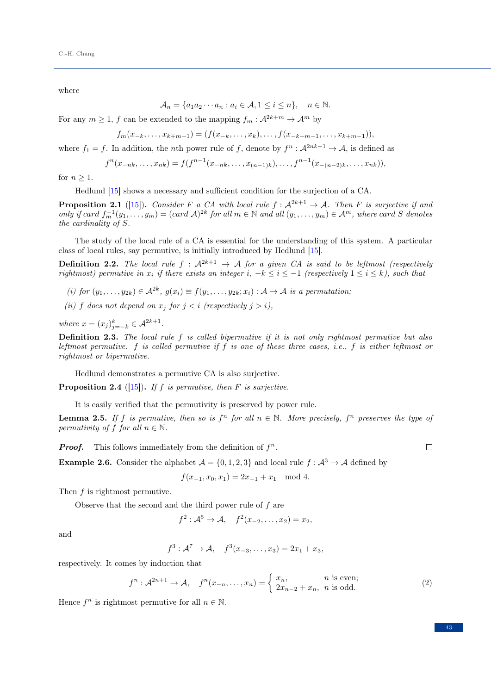where

$$
\mathcal{A}_n = \{a_1 a_2 \cdots a_n : a_i \in \mathcal{A}, 1 \le i \le n\}, \quad n \in \mathbb{N}.
$$

For any  $m\geq 1,$   $f$  can be extended to the mapping  $f_m:\mathcal{A}^{2k+m}\to \mathcal{A}^m$  by

$$
f_m(x_{-k},\ldots,x_{k+m-1})=(f(x_{-k},\ldots,x_k),\ldots,f(x_{-k+m-1},\ldots,x_{k+m-1})),
$$

where  $f_1 = f$ . In addition, the *n*th power rule of f, denote by  $f^n : \mathcal{A}^{2nk+1} \to \mathcal{A}$ , is defined as

$$
f^{n}(x_{-nk},...,x_{nk}) = f(f^{n-1}(x_{-nk},...,x_{(n-1)k}),...,f^{n-1}(x_{-(n-2)k},...,x_{nk})),
$$

for  $n > 1$ .

Hedlund [\[15\]](#page-10-15) shows a necessary and sufficient condition for the surjection of a CA.

**Proposition 2.1** ([\[15\]](#page-10-15)). Consider F a CA with local rule  $f : \mathcal{A}^{2k+1} \to \mathcal{A}$ . Then F is surjective if and only if card  $f_m^{-1}(y_1,\ldots,y_m)=(card\ A)^{2k}$  for all  $m\in\mathbb{N}$  and all  $(y_1,\ldots,y_m)\in\mathcal{A}^m$ , where card S denotes the cardinality of S.

The study of the local rule of a CA is essential for the understanding of this system. A particular class of local rules, say permutive, is initially introduced by Hedlund [\[15\]](#page-10-15).

**Definition 2.2.** The local rule  $f : A^{2k+1} \rightarrow A$  for a given CA is said to be leftmost (respectively rightmost) permutive in  $x_i$  if there exists an integer i,  $-k \leq i \leq -1$  (respectively  $1 \leq i \leq k$ ), such that

(i) for  $(y_1, \ldots, y_{2k}) \in \mathcal{A}^{2k}$ ,  $g(x_i) \equiv f(y_1, \ldots, y_{2k}; x_i) : \mathcal{A} \to \mathcal{A}$  is a permutation;

(ii) f does not depend on  $x_i$  for  $i < i$  (respectively  $i > i$ ),

where  $x = (x_j)_{j=-k}^k \in \mathcal{A}^{2k+1}$ .

**Definition 2.3.** The local rule  $f$  is called bipermutive if it is not only rightmost permutive but also leftmost permutive. f is called permutive if f is one of these three cases, i.e., f is either leftmost or rightmost or bipermutive.

Hedlund demonstrates a permutive CA is also surjective.

**Proposition 2.4** ([\[15\]](#page-10-15)). If f is permutive, then F is surjective.

It is easily verified that the permutivity is preserved by power rule.

**Lemma 2.5.** If f is permutive, then so is  $f^n$  for all  $n \in \mathbb{N}$ . More precisely,  $f^n$  preserves the type of permutivity of f for all  $n \in \mathbb{N}$ .

**Proof.** This follows immediately from the definition of  $f^n$ .

 $\Box$ 

<span id="page-2-0"></span>**Example 2.6.** Consider the alphabet  $A = \{0, 1, 2, 3\}$  and local rule  $f : A^3 \to A$  defined by

 $f(x_{-1}, x_0, x_1) = 2x_{-1} + x_1 \mod 4.$ 

Then  $f$  is rightmost permutive.

Observe that the second and the third power rule of  $f$  are

$$
f^2: \mathcal{A}^5 \to \mathcal{A}, \quad f^2(x_{-2}, \ldots, x_2) = x_2,
$$

and

$$
f^3: \mathcal{A}^7 \to \mathcal{A}, \quad f^3(x_{-3}, \ldots, x_3) = 2x_1 + x_3,
$$

respectively. It comes by induction that

$$
f^n: \mathcal{A}^{2n+1} \to \mathcal{A}, \quad f^n(x_{-n}, \dots, x_n) = \begin{cases} x_n, & n \text{ is even;} \\ 2x_{n-2} + x_n, & n \text{ is odd.} \end{cases}
$$
 (2)

Hence  $f^n$  is rightmost permutive for all  $n \in \mathbb{N}$ .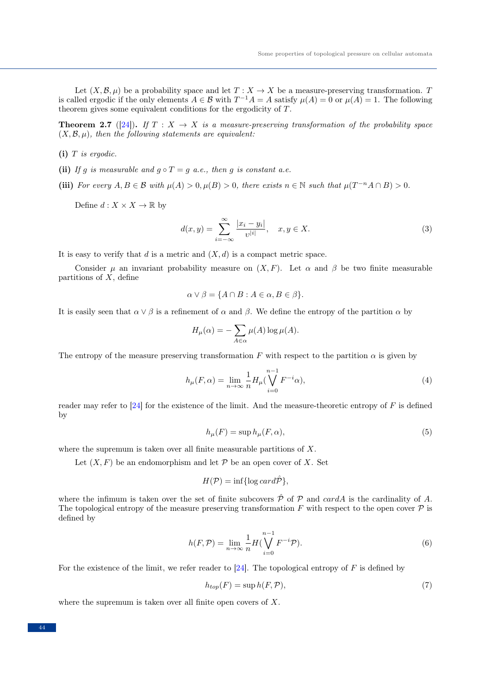Let  $(X, \mathcal{B}, \mu)$  be a probability space and let  $T : X \to X$  be a measure-preserving transformation. T is called ergodic if the only elements  $A \in \mathcal{B}$  with  $T^{-1}A = A$  satisfy  $\mu(A) = 0$  or  $\mu(A) = 1$ . The following theorem gives some equivalent conditions for the ergodicity of T.

**Theorem 2.7** ([\[24\]](#page-10-19)). If  $T : X \to X$  is a measure-preserving transformation of the probability space  $(X, \mathcal{B}, \mu)$ , then the following statements are equivalent:

- $(i)$  T is ergodic.
- (ii) If g is measurable and  $g \circ T = g$  a.e., then g is constant a.e.
- (iii) For every  $A, B \in \mathcal{B}$  with  $\mu(A) > 0, \mu(B) > 0$ , there exists  $n \in \mathbb{N}$  such that  $\mu(T^{-n}A \cap B) > 0$ .

Define  $d: X \times X \to \mathbb{R}$  by

$$
d(x,y) = \sum_{i=-\infty}^{\infty} \frac{|x_i - y_i|}{v^{|i|}}, \quad x, y \in X.
$$
 (3)

It is easy to verify that  $d$  is a metric and  $(X, d)$  is a compact metric space.

Consider  $\mu$  an invariant probability measure on  $(X, F)$ . Let  $\alpha$  and  $\beta$  be two finite measurable partitions of  $X$ , define

$$
\alpha \vee \beta = \{ A \cap B : A \in \alpha, B \in \beta \}.
$$

It is easily seen that  $\alpha \vee \beta$  is a refinement of  $\alpha$  and  $\beta$ . We define the entropy of the partition  $\alpha$  by

$$
H_{\mu}(\alpha) = -\sum_{A \in \alpha} \mu(A) \log \mu(A).
$$

The entropy of the measure preserving transformation F with respect to the partition  $\alpha$  is given by

$$
h_{\mu}(F,\alpha) = \lim_{n \to \infty} \frac{1}{n} H_{\mu}(\bigvee_{i=0}^{n-1} F^{-i}\alpha),\tag{4}
$$

reader may refer to [\[24\]](#page-10-19) for the existence of the limit. And the measure-theoretic entropy of  $F$  is defined by

$$
h_{\mu}(F) = \sup h_{\mu}(F, \alpha), \tag{5}
$$

where the supremum is taken over all finite measurable partitions of X.

Let  $(X, F)$  be an endomorphism and let P be an open cover of X. Set

$$
H(\mathcal{P}) = \inf \{ \log \operatorname{card} \hat{\mathcal{P}} \},
$$

where the infimum is taken over the set of finite subcovers  $\hat{\mathcal{P}}$  of  $\mathcal{P}$  and cardA is the cardinality of A. The topological entropy of the measure preserving transformation F with respect to the open cover  $\mathcal P$  is defined by

$$
h(F, \mathcal{P}) = \lim_{n \to \infty} \frac{1}{n} H(\bigvee_{i=0}^{n-1} F^{-i} \mathcal{P}).
$$
\n
$$
(6)
$$

For the existence of the limit, we refer reader to  $[24]$ . The topological entropy of F is defined by

$$
h_{top}(F) = \sup h(F, \mathcal{P}),\tag{7}
$$

where the supremum is taken over all finite open covers of  $X$ .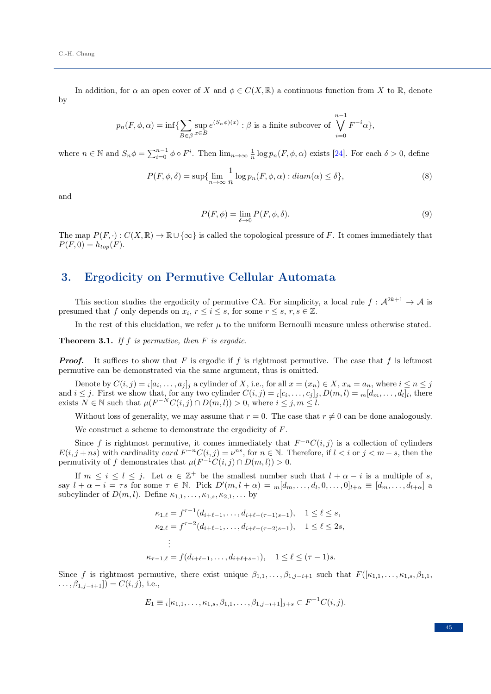In addition, for  $\alpha$  an open cover of X and  $\phi \in C(X, \mathbb{R})$  a continuous function from X to R, denote by

$$
p_n(F, \phi, \alpha) = \inf \{ \sum_{B \in \beta} \sup_{x \in B} e^{(S_n \phi)(x)} : \beta \text{ is a finite subcover of } \bigvee_{i=0}^{n-1} F^{-i} \alpha \},
$$

where  $n \in \mathbb{N}$  and  $S_n \phi = \sum_{i=0}^{n-1} \phi \circ F^i$ . Then  $\lim_{n \to \infty} \frac{1}{n} \log p_n(F, \phi, \alpha)$  exists [\[24\]](#page-10-19). For each  $\delta > 0$ , define

$$
P(F, \phi, \delta) = \sup \{ \lim_{n \to \infty} \frac{1}{n} \log p_n(F, \phi, \alpha) : diam(\alpha) \le \delta \},\tag{8}
$$

and

$$
P(F,\phi) = \lim_{\delta \to 0} P(F,\phi,\delta). \tag{9}
$$

The map  $P(F, \cdot): C(X, \mathbb{R}) \to \mathbb{R} \cup {\infty}$  is called the topological pressure of F. It comes immediately that  $P(F, 0) = h_{top}(F).$ 

#### 3. Ergodicity on Permutive Cellular Automata

This section studies the ergodicity of permutive CA. For simplicity, a local rule  $f: \mathcal{A}^{2k+1} \to \mathcal{A}$  is presumed that f only depends on  $x_i$ ,  $r \leq i \leq s$ , for some  $r \leq s$ ,  $r, s \in \mathbb{Z}$ .

In the rest of this elucidation, we refer  $\mu$  to the uniform Bernoulli measure unless otherwise stated.

<span id="page-4-0"></span>**Theorem 3.1.** If f is permutive, then  $F$  is ergodic.

**Proof.** It suffices to show that F is ergodic if f is rightmost permutive. The case that f is leftmost permutive can be demonstrated via the same argument, thus is omitted.

Denote by  $C(i, j) = i[a_i, \ldots, a_j]_j$  a cylinder of X, i.e., for all  $x = (x_n) \in X$ ,  $x_n = a_n$ , where  $i \leq n \leq j$ and  $i \leq j$ . First we show that, for any two cylinder  $C(i, j) = i[c_i, \ldots, c_j]_j$ ,  $D(m, l) = m[d_m, \ldots, d_l]_l$ , there exists  $N \in \mathbb{N}$  such that  $\mu(F^{-N}C(i,j) \cap D(m,l)) > 0$ , where  $i \leq j, m \leq l$ .

Without loss of generality, we may assume that  $r = 0$ . The case that  $r \neq 0$  can be done analogously.

We construct a scheme to demonstrate the ergodicity of F.

Since f is rightmost permutive, it comes immediately that  $F^{-n}C(i, j)$  is a collection of cylinders  $E(i, j + ns)$  with cardinality card  $F^{-n}C(i, j) = \nu^{ns}$ , for  $n \in \mathbb{N}$ . Therefore, if  $l < i$  or  $j < m - s$ , then the permutivity of f demonstrates that  $\mu(F^{-1}C(i,j) \cap D(m,l)) > 0$ .

If  $m \leq i \leq l \leq j$ . Let  $\alpha \in \mathbb{Z}^+$  be the smallest number such that  $l + \alpha - i$  is a multiple of s, say  $l + \alpha - i = \tau s$  for some  $\tau \in \mathbb{N}$ . Pick  $D'(m, l + \alpha) = m[d_m, \dots, d_l, 0, \dots, 0]_{l+\alpha} \equiv [d_m, \dots, d_{l+\alpha}]$  a subcylinder of  $D(m, l)$ . Define  $\kappa_{1,1}, \ldots, \kappa_{1,s}, \kappa_{2,1}, \ldots$  by

$$
\kappa_{1,\ell} = f^{\tau-1}(d_{i+\ell-1}, \dots, d_{i+\ell+(\tau-1)s-1}), \quad 1 \le \ell \le s,
$$
  
\n
$$
\kappa_{2,\ell} = f^{\tau-2}(d_{i+\ell-1}, \dots, d_{i+\ell+(\tau-2)s-1}), \quad 1 \le \ell \le 2s,
$$
  
\n
$$
\vdots
$$
  
\n
$$
\kappa_{\tau-1,\ell} = f(d_{i+\ell-1}, \dots, d_{i+\ell+s-1}), \quad 1 \le \ell \le (\tau-1)s.
$$

Since f is rightmost permutive, there exist unique  $\beta_{1,1},\ldots,\beta_{1,j-i+1}$  such that  $F([\kappa_{1,1},\ldots,\kappa_{1,s},\beta_{1,1},\beta_{1,s+1},\ldots,\beta_{1,s+1},\beta_{1,s+1},\ldots,\beta_{1,s+1,s+1},\ldots,\beta_{1,s+1,s+1},\ldots,\beta_{1,s+1,s+1},\ldots,\beta_{1,s+1,s+1},\ldots,\beta_{1,s+1,s+1},\ldots,\beta_{1,s+1,s+1},$  $\ldots, \beta_{1,j-i+1}$ ] =  $C(i,j)$ , i.e.,

$$
E_1 \equiv i[\kappa_{1,1}, \ldots, \kappa_{1,s}, \beta_{1,1}, \ldots, \beta_{1,j-i+1}]_{j+s} \subset F^{-1}C(i,j).
$$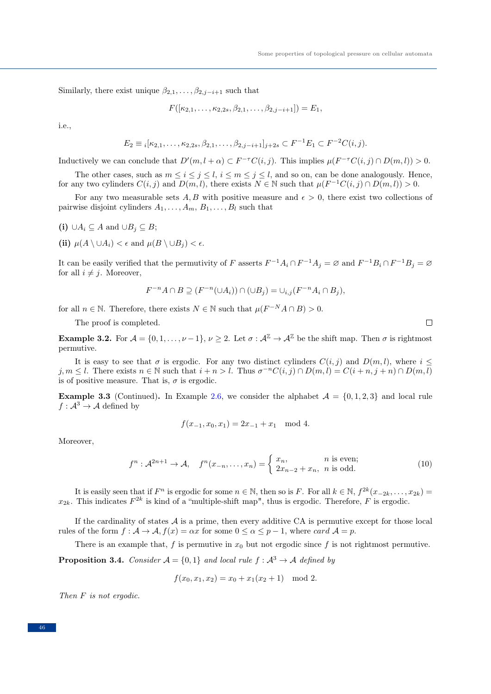Similarly, there exist unique  $\beta_{2,1}, \ldots, \beta_{2,j-i+1}$  such that

$$
F([\kappa_{2,1},\ldots,\kappa_{2,2s},\beta_{2,1},\ldots,\beta_{2,j-i+1}])=E_1,
$$

i.e.,

$$
E_2 \equiv i[\kappa_{2,1}, \dots, \kappa_{2,2s}, \beta_{2,1}, \dots, \beta_{2,j-i+1}]_{j+2s} \subset F^{-1}E_1 \subset F^{-2}C(i,j).
$$

Inductively we can conclude that  $D'(m, l + \alpha) \subset F^{-\tau}C(i, j)$ . This implies  $\mu(F^{-\tau}C(i, j) \cap D(m, l)) > 0$ .

The other cases, such as  $m \le i \le j \le l$ ,  $i \le m \le j \le l$ , and so on, can be done analogously. Hence, for any two cylinders  $C(i, j)$  and  $\overline{D(m, l)}$ , there exists  $N \in \mathbb{N}$  such that  $\mu(F^{-1}C(i, j) \cap D(m, l)) > 0$ .

For any two measurable sets A, B with positive measure and  $\epsilon > 0$ , there exist two collections of pairwise disjoint cylinders  $A_1, \ldots, A_m, B_1, \ldots, B_l$  such that

- (i) ∪ $A_i \subseteq A$  and ∪ $B_j \subseteq B$ ;
- (ii)  $\mu(A \setminus \cup A_i) < \epsilon$  and  $\mu(B \setminus \cup B_i) < \epsilon$ .

It can be easily verified that the permutivity of F asserts  $F^{-1}A_i \cap F^{-1}A_j = \emptyset$  and  $F^{-1}B_i \cap F^{-1}B_j = \emptyset$ for all  $i \neq j$ . Moreover,

$$
F^{-n}A \cap B \supseteq (F^{-n}(\cup A_i)) \cap (\cup B_j) = \cup_{i,j}(F^{-n}A_i \cap B_j),
$$

for all  $n \in \mathbb{N}$ . Therefore, there exists  $N \in \mathbb{N}$  such that  $\mu(F^{-N}A \cap B) > 0$ .

The proof is completed.

**Example 3.2.** For  $\mathcal{A} = \{0, 1, \ldots, \nu - 1\}, \nu \geq 2$ . Let  $\sigma : \mathcal{A}^{\mathbb{Z}} \to \mathcal{A}^{\mathbb{Z}}$  be the shift map. Then  $\sigma$  is rightmost permutive.

It is easy to see that  $\sigma$  is ergodic. For any two distinct cylinders  $C(i, j)$  and  $D(m, l)$ , where  $i \leq$  $j, m \leq l$ . There exists  $n \in \mathbb{N}$  such that  $i + n > l$ . Thus  $\sigma^{-n}C(i, j) \cap D(m, l) = C(i + n, j + n) \cap D(m, l)$ is of positive measure. That is,  $\sigma$  is ergodic.

**Example 3.3** (Continued). In Example [2.6,](#page-2-0) we consider the alphabet  $A = \{0, 1, 2, 3\}$  and local rule  $f: \mathcal{A}^3 \to \mathcal{A}$  defined by

$$
f(x_{-1}, x_0, x_1) = 2x_{-1} + x_1 \mod 4.
$$

Moreover,

$$
f^n: \mathcal{A}^{2n+1} \to \mathcal{A}, \quad f^n(x_{-n}, \dots, x_n) = \begin{cases} x_n, & n \text{ is even;} \\ 2x_{n-2} + x_n, & n \text{ is odd.} \end{cases}
$$
(10)

It is easily seen that if  $F^n$  is ergodic for some  $n \in \mathbb{N}$ , then so is F. For all  $k \in \mathbb{N}$ ,  $f^{2k}(x_{-2k},...,x_{2k}) =$  $x_{2k}$ . This indicates  $F^{2k}$  is kind of a "multiple-shift map", thus is ergodic. Therefore, F is ergodic.

If the cardinality of states  $A$  is a prime, then every additive CA is permutive except for those local rules of the form  $f : A \to A$ ,  $f(x) = \alpha x$  for some  $0 \le \alpha \le p-1$ , where card  $A = p$ .

There is an example that, f is permutive in  $x_0$  but not ergodic since f is not rightmost permutive.

**Proposition 3.4.** Consider  $A = \{0, 1\}$  and local rule  $f : A^3 \to A$  defined by

$$
f(x_0, x_1, x_2) = x_0 + x_1(x_2 + 1) \mod 2.
$$

Then F is not ergodic.

 $\Box$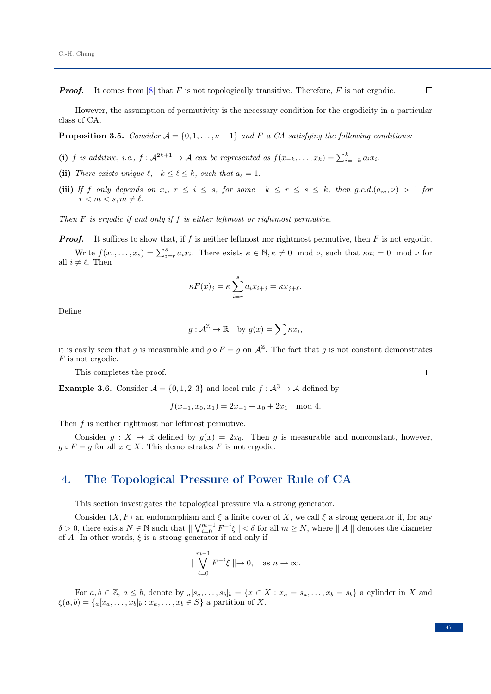**Proof.** It comes from [\[8\]](#page-10-20) that F is not topologically transitive. Therefore, F is not ergodic.

However, the assumption of permutivity is the necessary condition for the ergodicity in a particular class of CA.

**Proposition 3.5.** Consider  $A = \{0, 1, \ldots, \nu - 1\}$  and F a CA satisfying the following conditions:

- (i) f is additive, i.e.,  $f: \mathcal{A}^{2k+1} \to \mathcal{A}$  can be represented as  $f(x_{-k}, \ldots, x_k) = \sum_{i=-k}^{k} a_i x_i$ .
- (ii) There exists unique  $\ell, -k \leq \ell \leq k$ , such that  $a_{\ell} = 1$ .
- (iii) If f only depends on  $x_i$ ,  $r \le i \le s$ , for some  $-k \le r \le s \le k$ , then g.c.d. $(a_m, \nu) > 1$  for  $r < m < s, m \neq \ell$ .

Then  $F$  is ergodic if and only if  $f$  is either leftmost or rightmost permutive.

**Proof.** It suffices to show that, if f is neither leftmost nor rightmost permutive, then  $F$  is not ergodic.

Write  $f(x_r, \ldots, x_s) = \sum_{i=r}^s a_i x_i$ . There exists  $\kappa \in \mathbb{N}, \kappa \neq 0 \mod \nu$ , such that  $\kappa a_i = 0 \mod \nu$  for all  $i \neq \ell$ . Then

$$
\kappa F(x)_j = \kappa \sum_{i=r}^s a_i x_{i+j} = \kappa x_{j+\ell}.
$$

Define

$$
g: \mathcal{A}^{\mathbb{Z}} \to \mathbb{R}
$$
 by  $g(x) = \sum \kappa x_i$ ,

it is easily seen that g is measurable and  $g \circ F = g$  on  $\mathcal{A}^{\mathbb{Z}}$ . The fact that g is not constant demonstrates F is not ergodic.

This completes the proof.

**Example 3.6.** Consider  $A = \{0, 1, 2, 3\}$  and local rule  $f : A^3 \to A$  defined by

$$
f(x_{-1}, x_0, x_1) = 2x_{-1} + x_0 + 2x_1 \mod 4.
$$

Then f is neither rightmost nor leftmost permutive.

Consider  $g: X \to \mathbb{R}$  defined by  $g(x) = 2x_0$ . Then g is measurable and nonconstant, however,  $g \circ F = g$  for all  $x \in X$ . This demonstrates F is not ergodic.

### 4. The Topological Pressure of Power Rule of CA

This section investigates the topological pressure via a strong generator.

Consider  $(X, F)$  an endomorphism and  $\xi$  a finite cover of X, we call  $\xi$  a strong generator if, for any  $\delta > 0$ , there exists  $N \in \mathbb{N}$  such that  $\| \bigvee_{i=0}^{m-1} F^{-i} \xi \| < \delta$  for all  $m \ge N$ , where  $\| A \|$  denotes the diameter of A. In other words,  $\xi$  is a strong generator if and only if

$$
\parallel \bigvee_{i=0}^{m-1} F^{-i} \xi \parallel \to 0, \quad \text{as } n \to \infty.
$$

For  $a, b \in \mathbb{Z}$ ,  $a \leq b$ , denote by  $_a[s_a, \ldots, s_b]_b = \{x \in X : x_a = s_a, \ldots, x_b = s_b\}$  a cylinder in X and  $\xi(a, b) = \{a[x_a, \ldots, x_b]_b : x_a, \ldots, x_b \in S\}$  a partition of X.

 $\Box$ 

 $\Box$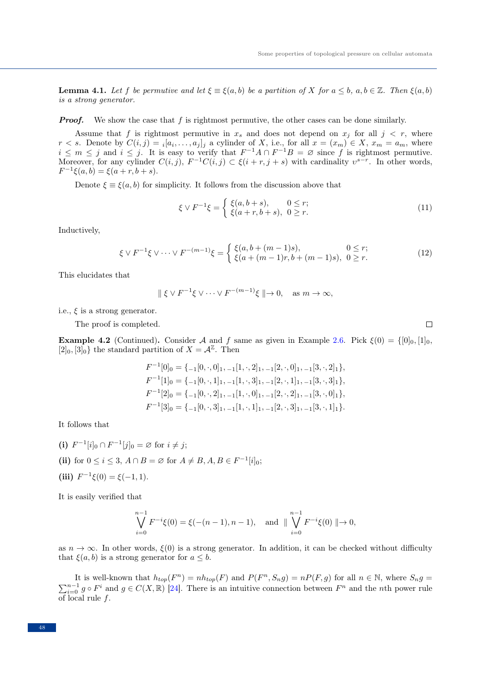$\Box$ 

<span id="page-7-0"></span>**Lemma 4.1.** Let f be permutive and let  $\xi \equiv \xi(a, b)$  be a partition of X for  $a \leq b$ ,  $a, b \in \mathbb{Z}$ . Then  $\xi(a, b)$ is a strong generator.

**Proof.** We show the case that f is rightmost permutive, the other cases can be done similarly.

Assume that f is rightmost permutive in  $x_s$  and does not depend on  $x_j$  for all  $j < r$ , where  $r < s$ . Denote by  $C(i, j) = i[a_1, \ldots, a_j]_j$  a cylinder of X, i.e., for all  $x = (x_m) \in X$ ,  $x_m = a_m$ , where  $i \leq m \leq j$  and  $i \leq j$ . It is easy to verify that  $F^{-1}A \cap F^{-1}B = \emptyset$  since f is rightmost permutive. Moreover, for any cylinder  $C(i, j)$ ,  $F^{-1}C(i, j) \subset \xi(i + r, j + s)$  with cardinality  $v^{s-r}$ . In other words,  $F^{-1}\xi(a,b) = \xi(a+r, b+s).$ 

Denote  $\xi \equiv \xi(a, b)$  for simplicity. It follows from the discussion above that

$$
\xi \vee F^{-1}\xi = \begin{cases} \xi(a, b+s), & 0 \le r; \\ \xi(a+r, b+s), & 0 \ge r. \end{cases}
$$
 (11)

Inductively,

$$
\xi \vee F^{-1}\xi \vee \cdots \vee F^{-(m-1)}\xi = \begin{cases} \xi(a, b + (m-1)s), & 0 \le r; \\ \xi(a + (m-1)r, b + (m-1)s), & 0 \ge r. \end{cases}
$$
(12)

This elucidates that

$$
\parallel \xi \vee F^{-1} \xi \vee \cdots \vee F^{-(m-1)} \xi \parallel \rightarrow 0, \quad \text{as } m \rightarrow \infty,
$$

i.e.,  $\xi$  is a strong generator.

The proof is completed.

**Example 4.2** (Continued). Consider A and f same as given in Example [2.6.](#page-2-0) Pick  $\xi(0) = \{[0]_0, [1]_0,$  $[2]_0$ ,  $[3]_0$  the standard partition of  $X = \mathcal{A}^{\mathbb{Z}}$ . Then

$$
F^{-1}[0]_0 = \{-1[0, \cdot, 0]_1, -1[1, \cdot, 2]_1, -1[2, \cdot, 0]_1, -1[3, \cdot, 2]_1\},
$$
  
\n
$$
F^{-1}[1]_0 = \{-1[0, \cdot, 1]_1, -1[1, \cdot, 3]_1, -1[2, \cdot, 1]_1, -1[3, \cdot, 3]_1\},
$$
  
\n
$$
F^{-1}[2]_0 = \{-1[0, \cdot, 2]_1, -1[1, \cdot, 0]_1, -1[2, \cdot, 2]_1, -1[3, \cdot, 0]_1\},
$$
  
\n
$$
F^{-1}[3]_0 = \{-1[0, \cdot, 3]_1, -1[1, \cdot, 1]_1, -1[2, \cdot, 3]_1, -1[3, \cdot, 1]_1\}.
$$

It follows that

(i)  $F^{-1}[i]_0 \cap F^{-1}[j]_0 = \emptyset$  for  $i \neq j$ ; (ii) for  $0 \le i \le 3$ ,  $A \cap B = \emptyset$  for  $A \ne B$ ,  $A, B \in F^{-1}[i]_0$ ; (iii)  $F^{-1}\xi(0) = \xi(-1,1)$ .

It is easily verified that

$$
\bigvee_{i=0}^{n-1} F^{-i}\xi(0) = \xi(-(n-1), n-1), \text{ and } \|\bigvee_{i=0}^{n-1} F^{-i}\xi(0) \| \to 0,
$$

as  $n \to \infty$ . In other words,  $\xi(0)$  is a strong generator. In addition, it can be checked without difficulty that  $\xi(a, b)$  is a strong generator for  $a \leq b$ .

It is well-known that  $h_{top}(F^n) = nh_{top}(F)$  and  $P(F^n, S_n g) = nP(F, g)$  for all  $n \in \mathbb{N}$ , where  $S_n g =$  $\sum_{i=0}^{n-1} g \circ F^i$  and  $g \in C(X, \mathbb{R})$  [\[24\]](#page-10-19). There is an intuitive connection between  $F^n$  and the *n*th power rule of local rule  $f$ .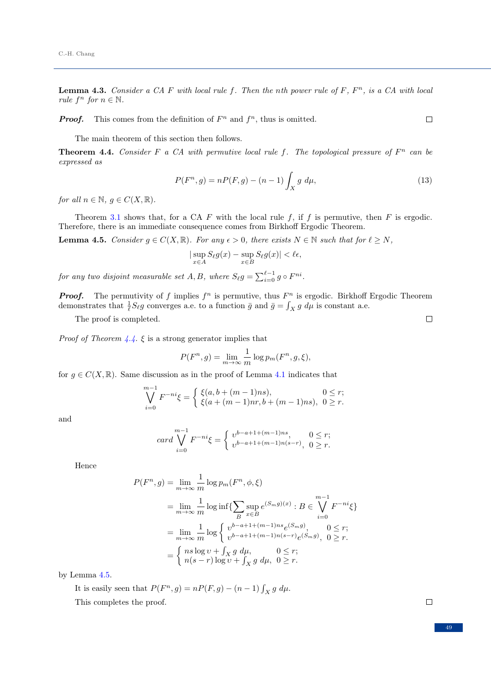**Lemma 4.3.** Consider a CA F with local rule f. Then the nth power rule of  $F$ ,  $F<sup>n</sup>$ , is a CA with local rule  $f^n$  for  $n \in \mathbb{N}$ .

**Proof.** This comes from the definition of  $F^n$  and  $f^n$ , thus is omitted.

 $\Box$ 

The main theorem of this section then follows.

<span id="page-8-0"></span>**Theorem 4.4.** Consider F a CA with permutive local rule f. The topological pressure of  $F<sup>n</sup>$  can be expressed as

$$
P(F^n, g) = nP(F, g) - (n - 1) \int_X g \, d\mu,\tag{13}
$$

for all  $n \in \mathbb{N}$ ,  $g \in C(X, \mathbb{R})$ .

Theorem [3.1](#page-4-0) shows that, for a CA F with the local rule f, if f is permutive, then F is ergodic. Therefore, there is an immediate consequence comes from Birkhoff Ergodic Theorem.

<span id="page-8-1"></span>**Lemma 4.5.** Consider  $g \in C(X, \mathbb{R})$ . For any  $\epsilon > 0$ , there exists  $N \in \mathbb{N}$  such that for  $\ell \geq N$ ,

$$
|\sup_{x \in A} S_{\ell}g(x) - \sup_{x \in B} S_{\ell}g(x)| < \ell \epsilon,
$$

for any two disjoint measurable set  $A, B$ , where  $S_{\ell}g = \sum_{i=0}^{\ell-1} g \circ F^{ni}$ .

**Proof.** The permutivity of f implies  $f^n$  is permutive, thus  $F^n$  is ergodic. Birkhoff Ergodic Theorem demonstrates that  $\frac{1}{\ell}S_{\ell}g$  converges a.e. to a function  $\bar{g}$  and  $\bar{g} = \int_X g \ d\mu$  is constant a.e.

The proof is completed.

*Proof of Theorem [4.4.](#page-8-0)*  $\xi$  is a strong generator implies that

$$
P(F^n, g) = \lim_{m \to \infty} \frac{1}{m} \log p_m(F^n, g, \xi),
$$

for  $q \in C(X, \mathbb{R})$ . Same discussion as in the proof of Lemma [4.1](#page-7-0) indicates that

$$
\bigvee_{i=0}^{m-1} F^{-ni} \xi = \begin{cases} \xi(a, b + (m-1)ns), & 0 \le r; \\ \xi(a + (m-1)nr, b + (m-1)ns), & 0 \ge r. \end{cases}
$$

and

$$
card \bigvee_{i=0}^{m-1} F^{-ni} \xi = \begin{cases} v^{b-a+1+(m-1)ns}, & 0 \le r; \\ v^{b-a+1+(m-1)n(s-r)}, & 0 \ge r. \end{cases}
$$

Hence

$$
P(F^n, g) = \lim_{m \to \infty} \frac{1}{m} \log p_m(F^n, \phi, \xi)
$$
  
= 
$$
\lim_{m \to \infty} \frac{1}{m} \log \inf \{ \sum_B \sup_{x \in B} e^{(S_m g)(x)} : B \in \bigvee_{i=0}^{m-1} F^{-ni} \xi \}
$$
  
= 
$$
\lim_{m \to \infty} \frac{1}{m} \log \left\{ \bigvee_{v=b-a+1+(m-1)n s} e^{(S_m g)}, \quad 0 \le r;
$$
  
= 
$$
\begin{cases} n s \log v + \int_X g \ d\mu, & 0 \le r; \\ n(s-r) \log v + \int_X g \ d\mu, & 0 \ge r. \end{cases}
$$

by Lemma [4.5.](#page-8-1)

It is easily seen that  $P(F^n, g) = nP(F, g) - (n - 1) \int_X g \ d\mu$ . This completes the proof.

 $\Box$ 

 $\Box$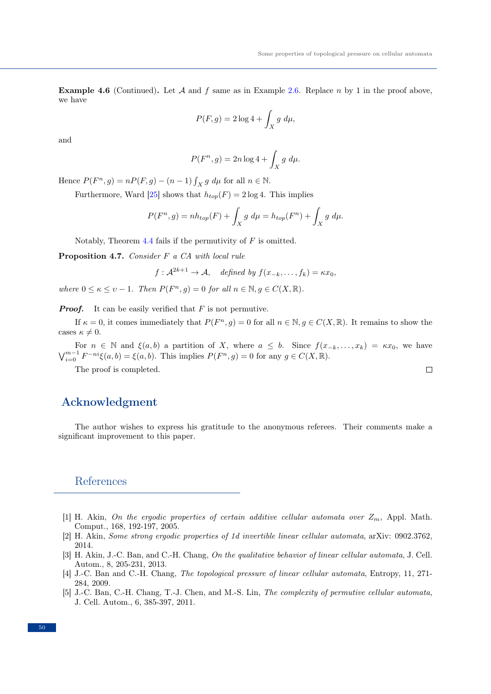$\Box$ 

**Example 4.6** (Continued). Let A and f same as in Example [2.6.](#page-2-0) Replace n by 1 in the proof above, we have

$$
P(F,g) = 2\log 4 + \int_X g \ d\mu,
$$

and

$$
P(F^n, g) = 2n \log 4 + \int_X g \ d\mu.
$$

Hence  $P(F^n, g) = nP(F, g) - (n - 1) \int_X g \, d\mu$  for all  $n \in \mathbb{N}$ .

Furthermore, Ward [\[25\]](#page-10-21) shows that  $h_{top}(F) = 2 \log 4$ . This implies

$$
P(F^n, g) = nh_{top}(F) + \int_X g \ d\mu = h_{top}(F^n) + \int_X g \ d\mu.
$$

Notably, Theorem [4.4](#page-8-0) fails if the permutivity of  $F$  is omitted.

Proposition 4.7. Consider F a CA with local rule

$$
f: \mathcal{A}^{2k+1} \to \mathcal{A}, \quad defined \; by \; f(x_{-k}, \ldots, f_k) = \kappa x_0,
$$

where  $0 \leq \kappa \leq \nu - 1$ . Then  $P(F^n, g) = 0$  for all  $n \in \mathbb{N}, g \in C(X, \mathbb{R})$ .

**Proof.** It can be easily verified that  $F$  is not permutive.

If  $\kappa = 0$ , it comes immediately that  $P(F^n, g) = 0$  for all  $n \in \mathbb{N}, g \in C(X, \mathbb{R})$ . It remains to show the cases  $\kappa \neq 0$ .

For  $n \in \mathbb{N}$  and  $\xi(a, b)$  a partition of X, where  $a \leq b$ . Since  $f(x_{-k}, \ldots, x_k) = \kappa x_0$ , we have  $\bigvee_{i=0}^{m-1} F^{-ni}\xi(a,b) = \xi(a,b).$  This implies  $P(F^n, g) = 0$  for any  $g \in C(X, \mathbb{R})$ .

The proof is completed.

#### Acknowledgment

The author wishes to express his gratitude to the anonymous referees. Their comments make a significant improvement to this paper.

#### References

- <span id="page-9-0"></span>[1] H. Akin, On the ergodic properties of certain additive cellular automata over  $Z_m$ , Appl. Math. Comput., 168, 192-197, 2005.
- <span id="page-9-1"></span>[2] H. Akin, Some strong ergodic properties of 1d invertible linear cellular automata, arXiv: 0902.3762, 2014.
- <span id="page-9-3"></span>[3] H. Akin, J.-C. Ban, and C.-H. Chang, On the qualitative behavior of linear cellular automata, J. Cell. Autom., 8, 205-231, 2013.
- <span id="page-9-4"></span>[4] J.-C. Ban and C.-H. Chang, The topological pressure of linear cellular automata, Entropy, 11, 271- 284, 2009.
- <span id="page-9-2"></span>[5] J.-C. Ban, C.-H. Chang, T.-J. Chen, and M.-S. Lin, The complexity of permutive cellular automata, J. Cell. Autom., 6, 385-397, 2011.